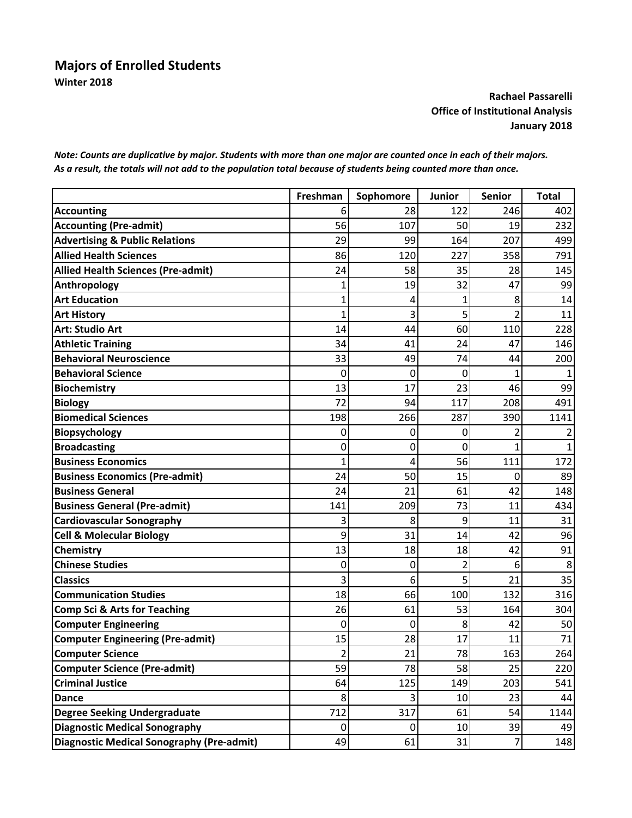## **Majors of Enrolled Students Winter 2018**

## **Rachael Passarelli Office of Institutional Analysis January 2018**

*Note: Counts are duplicative by major. Students with more than one major are counted once in each of their majors. As a result, the totals will not add to the population total because of students being counted more than once.*

|                                           | Freshman | Sophomore | Junior         | Senior         | <b>Total</b> |
|-------------------------------------------|----------|-----------|----------------|----------------|--------------|
| <b>Accounting</b>                         | 6        | 28        | 122            | 246            | 402          |
| <b>Accounting (Pre-admit)</b>             | 56       | 107       | 50             | 19             | 232          |
| <b>Advertising &amp; Public Relations</b> | 29       | 99        | 164            | 207            | 499          |
| <b>Allied Health Sciences</b>             | 86       | 120       | 227            | 358            | 791          |
| <b>Allied Health Sciences (Pre-admit)</b> | 24       | 58        | 35             | 28             | 145          |
| Anthropology                              |          | 19        | 32             | 47             | 99           |
| <b>Art Education</b>                      |          | 4         | 1              | 8              | 14           |
| <b>Art History</b>                        | 1        | 3         | 5              | $\overline{2}$ | 11           |
| <b>Art: Studio Art</b>                    | 14       | 44        | 60             | 110            | 228          |
| <b>Athletic Training</b>                  | 34       | 41        | 24             | 47             | 146          |
| <b>Behavioral Neuroscience</b>            | 33       | 49        | 74             | 44             | 200          |
| <b>Behavioral Science</b>                 | 0        | 0         | 0              | 1              |              |
| <b>Biochemistry</b>                       | 13       | 17        | 23             | 46             | 99           |
| <b>Biology</b>                            | 72       | 94        | 117            | 208            | 491          |
| <b>Biomedical Sciences</b>                | 198      | 266       | 287            | 390            | 1141         |
| <b>Biopsychology</b>                      | 0        | 0         | 0              | 2              | 2            |
| <b>Broadcasting</b>                       | 0        | 0         | 0              | $\overline{1}$ | 1            |
| <b>Business Economics</b>                 | 1        | 4         | 56             | 111            | 172          |
| <b>Business Economics (Pre-admit)</b>     | 24       | 50        | 15             | 0              | 89           |
| <b>Business General</b>                   | 24       | 21        | 61             | 42             | 148          |
| <b>Business General (Pre-admit)</b>       | 141      | 209       | 73             | 11             | 434          |
| <b>Cardiovascular Sonography</b>          | 3        | 8         | 9              | 11             | 31           |
| <b>Cell &amp; Molecular Biology</b>       | 9        | 31        | 14             | 42             | 96           |
| Chemistry                                 | 13       | 18        | 18             | 42             | 91           |
| <b>Chinese Studies</b>                    | 0        | 0         | $\overline{2}$ | 6              | 8            |
| <b>Classics</b>                           | 3        | 6         | 5              | 21             | 35           |
| <b>Communication Studies</b>              | 18       | 66        | 100            | 132            | 316          |
| <b>Comp Sci &amp; Arts for Teaching</b>   | 26       | 61        | 53             | 164            | 304          |
| <b>Computer Engineering</b>               | 0        | 0         | 8              | 42             | 50           |
| <b>Computer Engineering (Pre-admit)</b>   | 15       | 28        | 17             | 11             | 71           |
| <b>Computer Science</b>                   | 2        | 21        | 78             | 163            | 264          |
| <b>Computer Science (Pre-admit)</b>       | 59       | 78        | 58             | 25             | 220          |
| <b>Criminal Justice</b>                   | 64       | 125       | 149            | 203            | 541          |
| <b>Dance</b>                              | 8        | 3         | 10             | 23             | 44           |
| <b>Degree Seeking Undergraduate</b>       | 712      | 317       | 61             | 54             | 1144         |
| Diagnostic Medical Sonography             | 0        | 0         | 10             | 39             | 49           |
| Diagnostic Medical Sonography (Pre-admit) | 49       | 61        | 31             | $\overline{7}$ | 148          |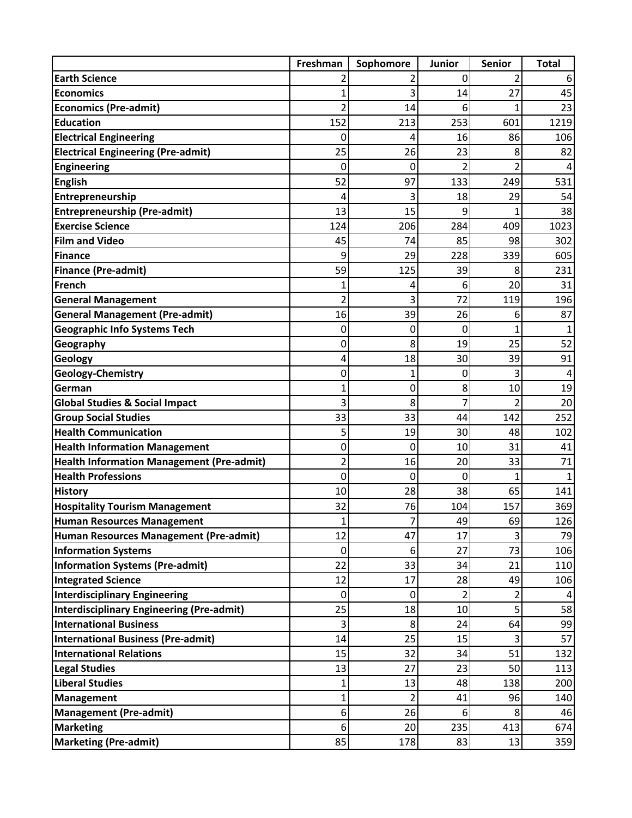|                                           | Freshman       | Sophomore      | Junior | <b>Senior</b>  | <b>Total</b> |
|-------------------------------------------|----------------|----------------|--------|----------------|--------------|
| <b>Earth Science</b>                      |                | 2              | 0      | 2              |              |
| <b>Economics</b>                          | 1              | 3              | 14     | 27             | 45           |
| <b>Economics (Pre-admit)</b>              | 2              | 14             | 6      | 1              | 23           |
| <b>Education</b>                          | 152            | 213            | 253    | 601            | 1219         |
| <b>Electrical Engineering</b>             | 0              | 4              | 16     | 86             | 106          |
| <b>Electrical Engineering (Pre-admit)</b> | 25             | 26             | 23     | 8              | 82           |
| <b>Engineering</b>                        | 0              | 0              | 2      | 2              |              |
| <b>English</b>                            | 52             | 97             | 133    | 249            | 531          |
| Entrepreneurship                          | 4              | 3              | 18     | 29             | 54           |
| <b>Entrepreneurship (Pre-admit)</b>       | 13             | 15             | 9      | 1              | 38           |
| <b>Exercise Science</b>                   | 124            | 206            | 284    | 409            | 1023         |
| <b>Film and Video</b>                     | 45             | 74             | 85     | 98             | 302          |
| Finance                                   | 9              | 29             | 228    | 339            | 605          |
| <b>Finance (Pre-admit)</b>                | 59             | 125            | 39     | 8              | 231          |
| French                                    |                | 4              | 6      | 20             | 31           |
| <b>General Management</b>                 | $\overline{2}$ | 3              | 72     | 119            | 196          |
| <b>General Management (Pre-admit)</b>     | 16             | 39             | 26     | 6              | 87           |
| <b>Geographic Info Systems Tech</b>       | 0              | 0              | 0      | 1              |              |
| Geography                                 | 0              | 8              | 19     | 25             | 52           |
| <b>Geology</b>                            | 4              | 18             | 30     | 39             | 91           |
| <b>Geology-Chemistry</b>                  | 0              | 1              | 0      | 3              |              |
| German                                    | 1              | 0              | 8      | 10             | 19           |
| <b>Global Studies &amp; Social Impact</b> | 3              | 8              |        | 2              | 20           |
| <b>Group Social Studies</b>               | 33             | 33             | 44     | 142            | 252          |
| <b>Health Communication</b>               | 5              | 19             | 30     | 48             | 102          |
| <b>Health Information Management</b>      | 0              | 0              | 10     | 31             | 41           |
| Health Information Management (Pre-admit) | $\overline{2}$ | 16             | 20     | 33             | 71           |
| <b>Health Professions</b>                 | 0              | 0              | 0      | $\overline{1}$ | $\mathbf{1}$ |
| <b>History</b>                            | 10             | 28             | 38     | 65             | 141          |
| <b>Hospitality Tourism Management</b>     | 32             | 76             | 104    | 157            | 369          |
| <b>Human Resources Management</b>         | $\mathbf{I}$   | $\prime$       | 49     | 69             | 126          |
| Human Resources Management (Pre-admit)    | 12             | 47             | 17     | 3              | 79           |
| <b>Information Systems</b>                | 0              | 6              | 27     | 73             | 106          |
| <b>Information Systems (Pre-admit)</b>    | 22             | 33             | 34     | 21             | 110          |
| <b>Integrated Science</b>                 | 12             | 17             | 28     | 49             | 106          |
| <b>Interdisciplinary Engineering</b>      | 0              | 0              | 2      | 2              |              |
| Interdisciplinary Engineering (Pre-admit) | 25             | 18             | 10     | 5              | 58           |
| <b>International Business</b>             | 3              | 8              | 24     | 64             | 99           |
| <b>International Business (Pre-admit)</b> | 14             | 25             | 15     | 3              | 57           |
| <b>International Relations</b>            | 15             | 32             | 34     | 51             | 132          |
| <b>Legal Studies</b>                      | 13             | 27             | 23     | 50             | 113          |
| <b>Liberal Studies</b>                    | 1              | 13             | 48     | 138            | 200          |
| Management                                | 1              | $\overline{2}$ | 41     | 96             | 140          |
| <b>Management (Pre-admit)</b>             | 6              | 26             | 6      | 8              | 46           |
| <b>Marketing</b>                          | 6              | 20             | 235    | 413            | 674          |
| <b>Marketing (Pre-admit)</b>              | 85             | 178            | 83     | 13             | 359          |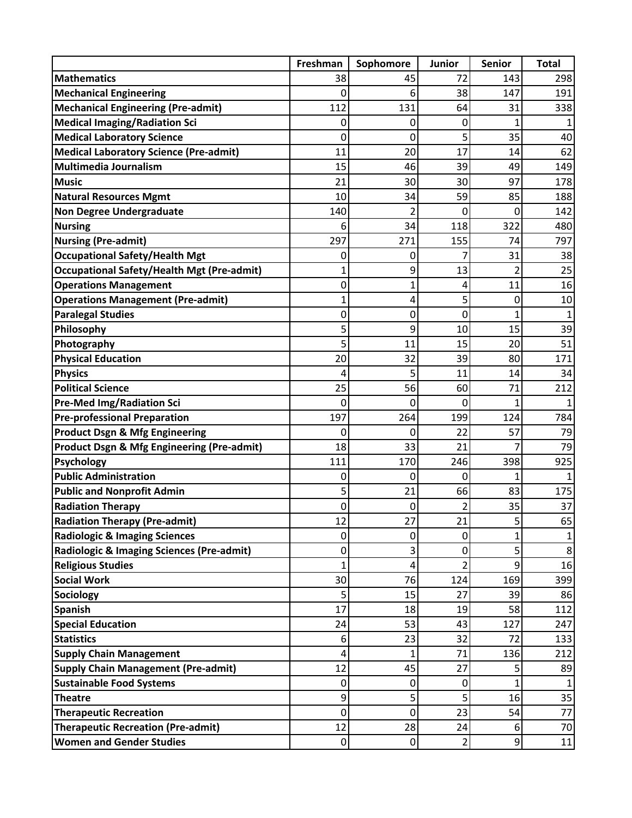|                                                   | Freshman | Sophomore | Junior         | <b>Senior</b>    | <b>Total</b> |
|---------------------------------------------------|----------|-----------|----------------|------------------|--------------|
| <b>Mathematics</b>                                | 38       | 45        | 72             | 143              | 298          |
| <b>Mechanical Engineering</b>                     | 0        | 6         | 38             | 147              | 191          |
| <b>Mechanical Engineering (Pre-admit)</b>         | 112      | 131       | 64             | 31               | 338          |
| <b>Medical Imaging/Radiation Sci</b>              | 0        | 0         | 0              | 1                |              |
| <b>Medical Laboratory Science</b>                 | 0        | 0         | 5              | 35               | 40           |
| <b>Medical Laboratory Science (Pre-admit)</b>     | 11       | 20        | 17             | 14               | 62           |
| Multimedia Journalism                             | 15       | 46        | 39             | 49               | 149          |
| <b>Music</b>                                      | 21       | 30        | 30             | 97               | 178          |
| <b>Natural Resources Mgmt</b>                     | 10       | 34        | 59             | 85               | 188          |
| <b>Non Degree Undergraduate</b>                   | 140      | 2         | 0              | 0                | 142          |
| <b>Nursing</b>                                    | 6        | 34        | 118            | 322              | 480          |
| <b>Nursing (Pre-admit)</b>                        | 297      | 271       | 155            | 74               | 797          |
| <b>Occupational Safety/Health Mgt</b>             | 0        | 0         |                | 31               | 38           |
| <b>Occupational Safety/Health Mgt (Pre-admit)</b> | 1        | 9         | 13             | 2                | 25           |
| <b>Operations Management</b>                      | 0        | 1         | 4              | 11               | 16           |
| <b>Operations Management (Pre-admit)</b>          | 1        | 4         | 5              | 0                | 10           |
| <b>Paralegal Studies</b>                          | 0        | 0         | 0              | 1                | $\mathbf{1}$ |
| Philosophy                                        | 5        | 9         | 10             | 15               | 39           |
| Photography                                       | 5        | 11        | 15             | 20               | 51           |
| <b>Physical Education</b>                         | 20       | 32        | 39             | 80               | 171          |
| <b>Physics</b>                                    | 4        | 5         | 11             | 14               | 34           |
| <b>Political Science</b>                          | 25       | 56        | 60             | 71               | 212          |
| <b>Pre-Med Img/Radiation Sci</b>                  | 0        | 0         | 0              | 1                |              |
| <b>Pre-professional Preparation</b>               | 197      | 264       | 199            | 124              | 784          |
| <b>Product Dsgn &amp; Mfg Engineering</b>         | 0        | 0         | 22             | 57               | 79           |
| Product Dsgn & Mfg Engineering (Pre-admit)        | 18       | 33        | 21             | 7                | 79           |
| <b>Psychology</b>                                 | 111      | 170       | 246            | 398              | 925          |
| <b>Public Administration</b>                      | 0        | 0         | 0              | 1                |              |
| <b>Public and Nonprofit Admin</b>                 | 5        | 21        | 66             | 83               | 175          |
| <b>Radiation Therapy</b>                          | 0        | 0         |                | 35               | 37           |
| <b>Radiation Therapy (Pre-admit)</b>              | 12       | 27        | 21             | 5                | 65           |
| <b>Radiologic &amp; Imaging Sciences</b>          | 0        | 0         | 0              | 1                |              |
| Radiologic & Imaging Sciences (Pre-admit)         | 0        | 3         | 0              | 5                | 8            |
| <b>Religious Studies</b>                          | 1        | 4         | 2              | 9                | 16           |
| <b>Social Work</b>                                | 30       | 76        | 124            | 169              | 399          |
| <b>Sociology</b>                                  | 5        | 15        | 27             | 39               | 86           |
| <b>Spanish</b>                                    | 17       | 18        | 19             | 58               | 112          |
| <b>Special Education</b>                          | 24       | 53        | 43             | 127              | 247          |
| <b>Statistics</b>                                 | 6        | 23        | 32             | 72               | 133          |
| <b>Supply Chain Management</b>                    | 4        | 1         | 71             | 136              | 212          |
| <b>Supply Chain Management (Pre-admit)</b>        | 12       | 45        | 27             | 5                | 89           |
| <b>Sustainable Food Systems</b>                   | 0        | 0         | 0              | 1                |              |
| <b>Theatre</b>                                    | 9        | 5         | 5              | 16               | 35           |
| <b>Therapeutic Recreation</b>                     | 0        | 0         | 23             | 54               | 77           |
| <b>Therapeutic Recreation (Pre-admit)</b>         | 12       | 28        | 24             | 6                | 70           |
| <b>Women and Gender Studies</b>                   | 0        | 0         | $\overline{2}$ | $\boldsymbol{9}$ | 11           |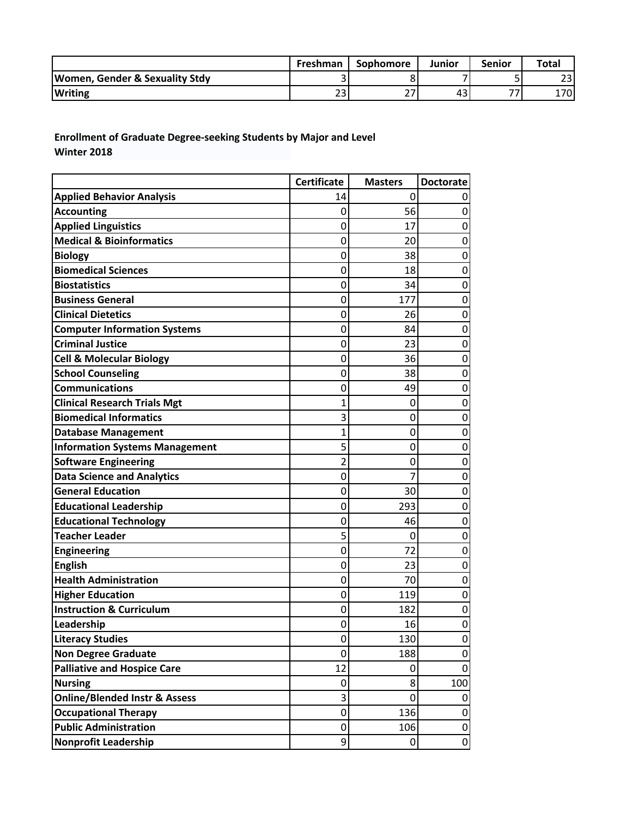|                                           | Freshman | <b>Sophomore</b>                    | Junior | Senior | <b>Total</b> |
|-------------------------------------------|----------|-------------------------------------|--------|--------|--------------|
| <b>Women, Gender &amp; Sexuality Stdy</b> |          |                                     |        |        | 23           |
| <b>Writing</b>                            | ີ<br>້   | $\sim$ $\rightarrow$<br><u>_ , </u> | 43     | --     | 1701         |

**Enrollment of Graduate Degree‐seeking Students by Major and Level Winter 2018**

|                                          | <b>Certificate</b> | <b>Masters</b> | <b>Doctorate</b> |
|------------------------------------------|--------------------|----------------|------------------|
| <b>Applied Behavior Analysis</b>         | 14                 | 0              |                  |
| <b>Accounting</b>                        | 0                  | 56             | $\mathbf 0$      |
| <b>Applied Linguistics</b>               | 0                  | 17             | 0                |
| <b>Medical &amp; Bioinformatics</b>      | 0                  | 20             | 0                |
| <b>Biology</b>                           | 0                  | 38             | 0                |
| <b>Biomedical Sciences</b>               | 0                  | 18             | $\mathbf 0$      |
| <b>Biostatistics</b>                     | 0                  | 34             | 0                |
| <b>Business General</b>                  | 0                  | 177            | 0                |
| <b>Clinical Dietetics</b>                | 0                  | 26             | $\mathbf 0$      |
| <b>Computer Information Systems</b>      | 0                  | 84             | 0                |
| <b>Criminal Justice</b>                  | 0                  | 23             | 0                |
| <b>Cell &amp; Molecular Biology</b>      | 0                  | 36             | 0                |
| <b>School Counseling</b>                 | 0                  | 38             | $\mathbf 0$      |
| <b>Communications</b>                    | 0                  | 49             | 0                |
| <b>Clinical Research Trials Mgt</b>      | 1                  | 0              | 0                |
| <b>Biomedical Informatics</b>            | 3                  | 0              | 0                |
| <b>Database Management</b>               | 1                  | 0              | $\mathbf 0$      |
| <b>Information Systems Management</b>    | 5                  | 0              | $\mathbf 0$      |
| <b>Software Engineering</b>              | $\overline{2}$     | 0              | 0                |
| <b>Data Science and Analytics</b>        | 0                  | 7              | 0                |
| <b>General Education</b>                 | 0                  | 30             | 0                |
| <b>Educational Leadership</b>            | 0                  | 293            | $\mathbf 0$      |
| <b>Educational Technology</b>            | 0                  | 46             | $\mathbf 0$      |
| <b>Teacher Leader</b>                    | 5                  | 0              | 0                |
| <b>Engineering</b>                       | 0                  | 72             | 0                |
| <b>English</b>                           | 0                  | 23             | 0                |
| <b>Health Administration</b>             | 0                  | 70             | $\mathbf 0$      |
| <b>Higher Education</b>                  | 0                  | 119            | 0                |
| <b>Instruction &amp; Curriculum</b>      | 0                  | 182            | 0                |
| Leadership                               | 0                  | 16             | 0                |
| <b>Literacy Studies</b>                  | 0                  | 130            | 0                |
| <b>Non Degree Graduate</b>               | 0                  | 188            | 0                |
| <b>Palliative and Hospice Care</b>       | 12                 | 0              | 0                |
| <b>Nursing</b>                           | 0                  | 8              | 100              |
| <b>Online/Blended Instr &amp; Assess</b> | 3                  | 0              | 0                |
| <b>Occupational Therapy</b>              | 0                  | 136            | $\pmb{0}$        |
| <b>Public Administration</b>             | 0                  | 106            | 0                |
| <b>Nonprofit Leadership</b>              | 9                  | 0              | $\pmb{0}$        |